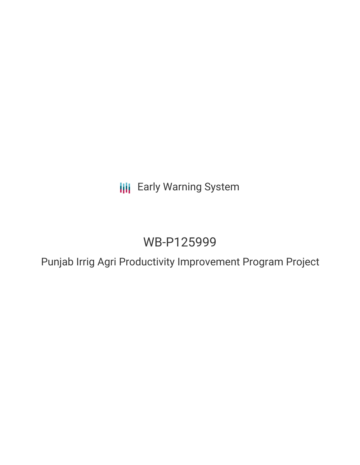**III** Early Warning System

# WB-P125999

Punjab Irrig Agri Productivity Improvement Program Project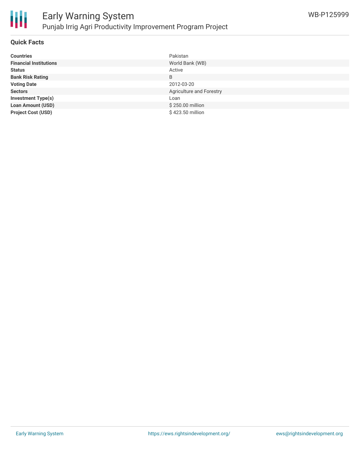

#### **Quick Facts**

| <b>Countries</b>              | Pakistan                        |
|-------------------------------|---------------------------------|
| <b>Financial Institutions</b> | World Bank (WB)                 |
| <b>Status</b>                 | Active                          |
| <b>Bank Risk Rating</b>       | B                               |
| <b>Voting Date</b>            | 2012-03-20                      |
| <b>Sectors</b>                | <b>Agriculture and Forestry</b> |
| <b>Investment Type(s)</b>     | Loan                            |
| <b>Loan Amount (USD)</b>      | \$250.00 million                |
| <b>Project Cost (USD)</b>     | \$423.50 million                |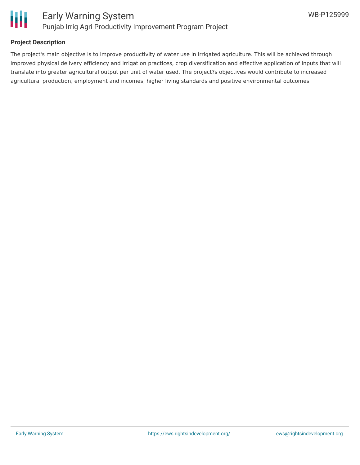

### **Project Description**

The project's main objective is to improve productivity of water use in irrigated agriculture. This will be achieved through improved physical delivery efficiency and irrigation practices, crop diversification and effective application of inputs that will translate into greater agricultural output per unit of water used. The project?s objectives would contribute to increased agricultural production, employment and incomes, higher living standards and positive environmental outcomes.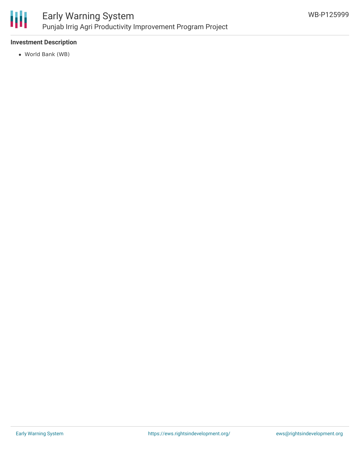

# Early Warning System Punjab Irrig Agri Productivity Improvement Program Project

## **Investment Description**

World Bank (WB)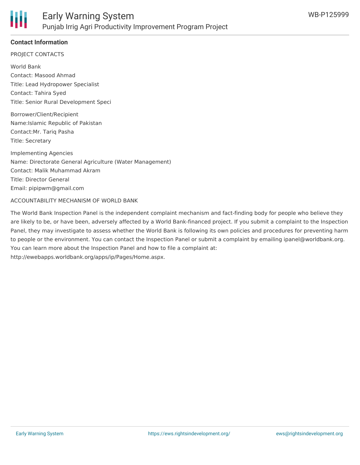

## **Contact Information**

PROJECT CONTACTS

World Bank Contact: Masood Ahmad Title: Lead Hydropower Specialist Contact: Tahira Syed Title: Senior Rural Development Speci

Borrower/Client/Recipient Name:Islamic Republic of Pakistan Contact:Mr. Tariq Pasha Title: Secretary

Implementing Agencies Name: Directorate General Agriculture (Water Management) Contact: Malik Muhammad Akram Title: Director General Email: pipipwm@gmail.com

#### ACCOUNTABILITY MECHANISM OF WORLD BANK

The World Bank Inspection Panel is the independent complaint mechanism and fact-finding body for people who believe they are likely to be, or have been, adversely affected by a World Bank-financed project. If you submit a complaint to the Inspection Panel, they may investigate to assess whether the World Bank is following its own policies and procedures for preventing harm to people or the environment. You can contact the Inspection Panel or submit a complaint by emailing ipanel@worldbank.org. You can learn more about the Inspection Panel and how to file a complaint at: http://ewebapps.worldbank.org/apps/ip/Pages/Home.aspx.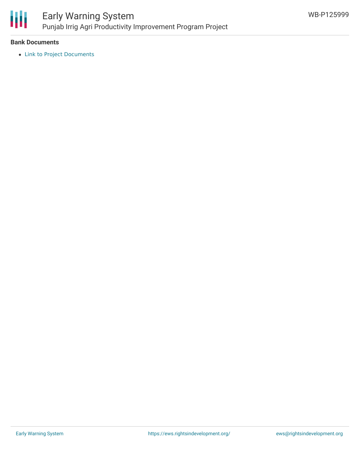

# Early Warning System Punjab Irrig Agri Productivity Improvement Program Project

#### **Bank Documents**

Link to Project [Documents](http://projects.worldbank.org/P125999/punjab-irrigation-productivity-improvement-program-project-phase-i?lang=en&tab=documents&subTab=projectDocuments)